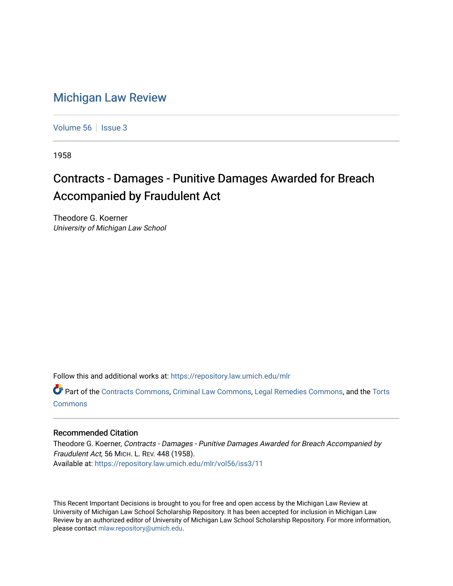## [Michigan Law Review](https://repository.law.umich.edu/mlr)

[Volume 56](https://repository.law.umich.edu/mlr/vol56) | [Issue 3](https://repository.law.umich.edu/mlr/vol56/iss3)

1958

## Contracts - Damages - Punitive Damages Awarded for Breach Accompanied by Fraudulent Act

Theodore G. Koerner University of Michigan Law School

Follow this and additional works at: [https://repository.law.umich.edu/mlr](https://repository.law.umich.edu/mlr?utm_source=repository.law.umich.edu%2Fmlr%2Fvol56%2Fiss3%2F11&utm_medium=PDF&utm_campaign=PDFCoverPages) 

Part of the [Contracts Commons](http://network.bepress.com/hgg/discipline/591?utm_source=repository.law.umich.edu%2Fmlr%2Fvol56%2Fiss3%2F11&utm_medium=PDF&utm_campaign=PDFCoverPages), [Criminal Law Commons,](http://network.bepress.com/hgg/discipline/912?utm_source=repository.law.umich.edu%2Fmlr%2Fvol56%2Fiss3%2F11&utm_medium=PDF&utm_campaign=PDFCoverPages) [Legal Remedies Commons,](http://network.bepress.com/hgg/discipline/618?utm_source=repository.law.umich.edu%2Fmlr%2Fvol56%2Fiss3%2F11&utm_medium=PDF&utm_campaign=PDFCoverPages) and the [Torts](http://network.bepress.com/hgg/discipline/913?utm_source=repository.law.umich.edu%2Fmlr%2Fvol56%2Fiss3%2F11&utm_medium=PDF&utm_campaign=PDFCoverPages)  [Commons](http://network.bepress.com/hgg/discipline/913?utm_source=repository.law.umich.edu%2Fmlr%2Fvol56%2Fiss3%2F11&utm_medium=PDF&utm_campaign=PDFCoverPages)

## Recommended Citation

Theodore G. Koerner, Contracts - Damages - Punitive Damages Awarded for Breach Accompanied by Fraudulent Act, 56 MICH. L. REV. 448 (1958). Available at: [https://repository.law.umich.edu/mlr/vol56/iss3/11](https://repository.law.umich.edu/mlr/vol56/iss3/11?utm_source=repository.law.umich.edu%2Fmlr%2Fvol56%2Fiss3%2F11&utm_medium=PDF&utm_campaign=PDFCoverPages) 

This Recent Important Decisions is brought to you for free and open access by the Michigan Law Review at University of Michigan Law School Scholarship Repository. It has been accepted for inclusion in Michigan Law Review by an authorized editor of University of Michigan Law School Scholarship Repository. For more information, please contact [mlaw.repository@umich.edu.](mailto:mlaw.repository@umich.edu)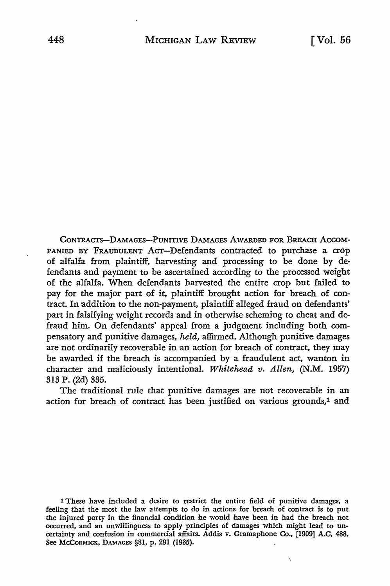CoNTRACTs-DAMAGES-PUNITIVE DAMAGES AWARDED FOR BREACH AccoM-PANIED BY FRAUDULENT ACT-Defendants contracted to purchase a crop of alfalfa from plaintiff, harvesting and processing to be done by defendants and payment to be ascertained according to the processed weight of the alfalfa. When defendants harvested the entire crop but failed to pay for the major part of it, plaintiff brought action for breach of contract. In addition to the non-payment, plaintiff alleged fraud on defendants' part in falsifying weight records and in otherwise scheming to cheat and defraud him. On defendants' appeal from a judgment including both compensatory and punitive damages, *held,* affirmed. Although punitive damages are not ordinarily recoverable in an action for breach of contract, they may be awarded if the breach is accompanied by a fraudulent act, wanton in character and maliciously intentional. *Whitehead v. Allen,* **(N.M.** 1957) 313 P. (2d) 335.

The traditional rule that punitive damages are not recoverable in an action for breach of contract has been justified on various grounds,<sup>1</sup> and

1 These have included a desire to restrict the entire field of punitive damages, a feeling that the most the law attempts to do in actions for breach of contract is to put the injured party in the financial condition he would have been in had the breach not occurred, and an unwillingness to apply principles of damages which might lead to uncertainty and confusion in commercial affairs. Addis v. Gramaphone Co., [1909] A.C. 488. See McCORMICK, DAMAGES §81, p. 291 (1935).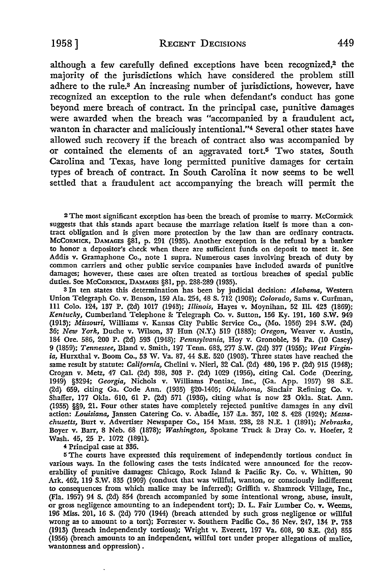although a few carefully defined exceptions have been recognized,<sup>2</sup> the majority of the jurisdictions which have considered the problem still adhere to the rule.8 An increasing number of jurisdictions, however, have recognized an exception to the rule when defendant's conduct has gone beyond mere breach of contract. In the principal case, punitive damages were awarded when the breach was "accompanied by a fraudulent act, wanton in character and maliciously intentional."4 Several other states have allowed such recovery if the breach of contract also was accompanied by or contained the elements of an aggravated tort.5 Two states, South Carolina and Texas, have long permitted punitive damages for certain types of breach of contract. In South Carolina it now seems to be well settled that a fraudulent act accompanying the breach will permit the

<sup>2</sup> The most significant exception has been the breach of promise to marry. McCormick suggests that this stands apart because the marriage relation itself is more than a contract obligation and is given more protection by the law than are ordinary contracts. McCORMICK, DAMAGES §81, p. 291 (1935). Another exception is the refusal by a banker to honor a depositor's check when there are sufficient funds on deposit to meet it. See Addis v. Gramaphone Co., note 1 supra. Numerous cases involving breach of duty by common carriers and other public service companies have included awards of punitive damages; however, these cases are often treated as tortious breaches of special public duties. See McCORMICK, DAMAGES §81, pp. 288-289 (1935).

3 In ten states this determination has been by judicial decision: *Alabama,* Western Union Telegraph Co. v. Benson, 159 Ala. 254, 48 S. 712 (1908); *Colorado,* Sams **v.** Curfman, Ill Colo. 124, 137 P. (2d) 1017 (1943); *Illinois,* Hayes v. Moynihan, 52 Ill. 423 (1869); *Kentucky,* Cumberland Telephone & Telegraph Co. v. Sutton, 156 Ky. 191, 160 S.W. 949 (1913); *Missouri,* Williams v. Kansas City Public Service Co., (Mo. 1956) 294 S.W. (2d) 36; *New York,* Duche v. Wilson, 37 Hun (N.Y.) 519 (1885); *Oregon,* Weaver v. Austin, 184 Ore. 586, 200 P. (2d) 593 (1948); *Pennsylvania,* Hoy v. Gronoble, 34 Pa. (IO Casey) 9 (1859); *Tennessee,* Bland v. Smith, 197 Tenn. 683, 277 S.W. (2d) 377 (1955); *West Virginia,* Hurxthal v. Boom Co., 53 W. Va. 87, 44 S.E. 520 (1903). Three states have reached the same result by statute: *California,* Chelini v. Nieri, 32 Cal. (2d) 480, 196 P. (2d) 915 (1948); Crogan v. Metz, 47 Cal. (2d) 398, 303 P. (2d) 1029 (1956), citing Cal. Code (Deering, 1949) §3294; *Georgia,* Nichols v. Williams Pontiac, Inc., (Ga. App. 1957) 98 S.E. (2d) 659, citing Ga. Code Ann. (1935) §20-1405; *Oklahoma,* Sinclair Refining Co. v. Shaffer, 177 Okla. 610, 61 P. (2d) 571 (1936), citing what is now 23 Okla. Stat. Ann. (1955) §§9, 21. Four other states have completely rejected punitive damages in any civil action: *Louisiana*, Janssen Catering Co. v. Abadie, 157 La. 357, 102 S. 428 (1924); *Massachusetts,* Burt v. Advertiser Newspaper Co., 154 Mass. 238, 28 N.E. 1 (1891); *Nebraska,*  Boyer v. Barr, 8 Neb. 68 (1878); *Washington,* Spokane Truck &: Dray Co. v. Hoefer, 2 Wash. 45, 25 P. 1072 (1891).

**<sup>4</sup>**Principal case at 336.

<sup>5</sup>The courts have expressed this requirement of independently tortious conduct in various ways. In the following cases the tests indicated were announced for the recoverability of punitive damages: Chicago, Rock Island &: Pacific Ry. Co. v. Whitten, 90 Ark. 462, 119 **S.W.** 835 (1909) (conduct that was willful, wanton, or consciously indifferent **to** consequences from which malice may be inferred); Griffith v. Shamrock Village, Inc., (Fla. 1957) 94 S. (2d) 854 (breach accompanied by some intentional wrong, abuse, insult, or gross negligence amounting to an independent tort); D. L. Fair Lumber Co. **v.** Weems, 196 Miss. 201, 16 S. (2d) 770 (1944) (breach attended by such gross ·negligence or willful wrong as to amount to a tort); Forrester v. Southern Pacific Co., 36 Nev. 247, 134 P. 753 (1913) (breach independently tortious); Wright v. Everett, 197 Va. 608, 90 S.E. (2d) 855 (1956) (breach amounts to an independent, willful tort under proper allegations of malice, wantonness and oppression) .